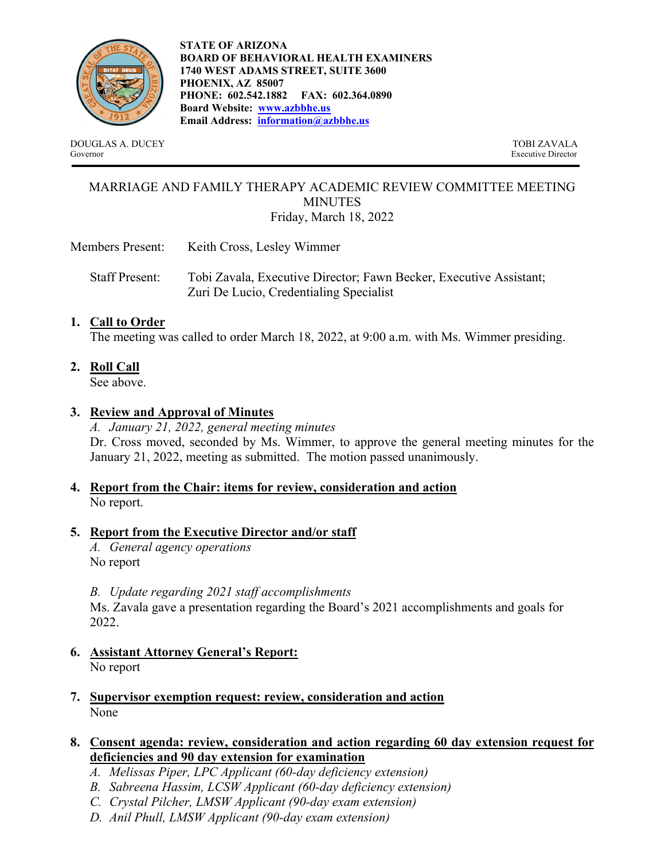

**STATE OF ARIZONA BOARD OF BEHAVIORAL HEALTH EXAMINERS 1740 WEST ADAMS STREET, SUITE 3600 PHOENIX, AZ 85007 PHONE: 602.542.1882 FAX: 602.364.0890 Board Website: www.azbbhe.us Email Address: information@azbbhe.us**

DOUGLAS A. DUCEY TOBI ZAVALA Governor Executive Director

### MARRIAGE AND FAMILY THERAPY ACADEMIC REVIEW COMMITTEE MEETING MINUTES Friday, March 18, 2022

- Members Present: Keith Cross, Lesley Wimmer
	- Staff Present: Tobi Zavala, Executive Director; Fawn Becker, Executive Assistant; Zuri De Lucio, Credentialing Specialist

# **1. Call to Order**

The meeting was called to order March 18, 2022, at 9:00 a.m. with Ms. Wimmer presiding.

**2. Roll Call** 

See above.

# **3. Review and Approval of Minutes**

*A. January 21, 2022, general meeting minutes*  Dr. Cross moved, seconded by Ms. Wimmer, to approve the general meeting minutes for the January 21, 2022, meeting as submitted. The motion passed unanimously.

## **4. Report from the Chair: items for review, consideration and action** No report.

## **5. Report from the Executive Director and/or staff**

*A. General agency operations*  No report

*B. Update regarding 2021 staff accomplishments* 

Ms. Zavala gave a presentation regarding the Board's 2021 accomplishments and goals for 2022.

- **6. Assistant Attorney General's Report:** No report
- **7. Supervisor exemption request: review, consideration and action**  None

## **8. Consent agenda: review, consideration and action regarding 60 day extension request for deficiencies and 90 day extension for examination**

- *A. Melissas Piper, LPC Applicant (60-day deficiency extension)*
- *B. Sabreena Hassim, LCSW Applicant (60-day deficiency extension)*
- *C. Crystal Pilcher, LMSW Applicant (90-day exam extension)*
- *D. Anil Phull, LMSW Applicant (90-day exam extension)*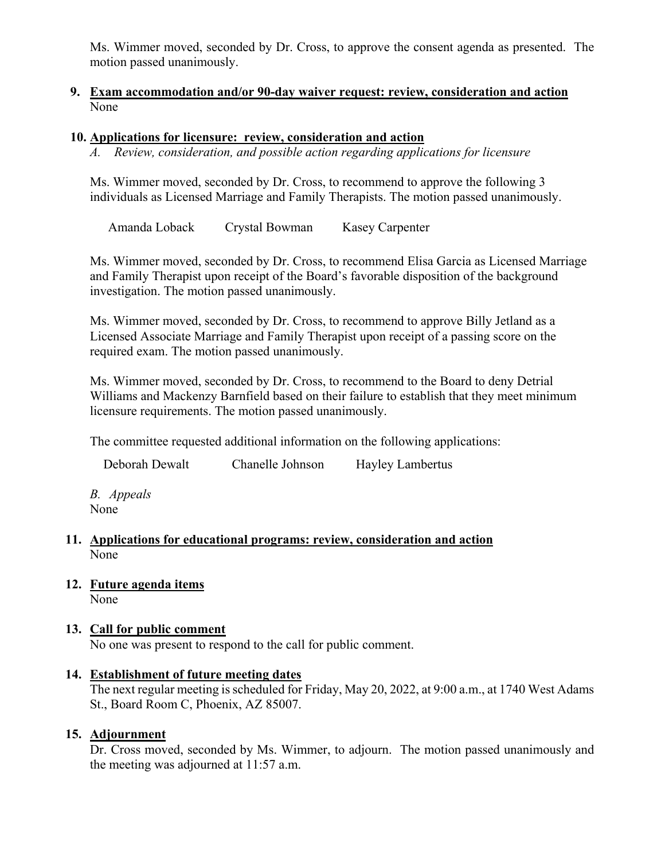Ms. Wimmer moved, seconded by Dr. Cross, to approve the consent agenda as presented. The motion passed unanimously.

### **9. Exam accommodation and/or 90-day waiver request: review, consideration and action**  None

### **10. Applications for licensure: review, consideration and action**

*A. Review, consideration, and possible action regarding applications for licensure* 

Ms. Wimmer moved, seconded by Dr. Cross, to recommend to approve the following 3 individuals as Licensed Marriage and Family Therapists. The motion passed unanimously.

Amanda Loback Crystal Bowman Kasey Carpenter

Ms. Wimmer moved, seconded by Dr. Cross, to recommend Elisa Garcia as Licensed Marriage and Family Therapist upon receipt of the Board's favorable disposition of the background investigation. The motion passed unanimously.

Ms. Wimmer moved, seconded by Dr. Cross, to recommend to approve Billy Jetland as a Licensed Associate Marriage and Family Therapist upon receipt of a passing score on the required exam. The motion passed unanimously.

Ms. Wimmer moved, seconded by Dr. Cross, to recommend to the Board to deny Detrial Williams and Mackenzy Barnfield based on their failure to establish that they meet minimum licensure requirements. The motion passed unanimously.

The committee requested additional information on the following applications:

Deborah Dewalt Chanelle Johnson Hayley Lambertus

*B. Appeals*  None

#### **11. Applications for educational programs: review, consideration and action**  None

**12. Future agenda items** 

None

## **13. Call for public comment**

No one was present to respond to the call for public comment.

#### **14. Establishment of future meeting dates**

The next regular meeting is scheduled for Friday, May 20, 2022, at 9:00 a.m., at 1740 West Adams St., Board Room C, Phoenix, AZ 85007.

## **15. Adjournment**

Dr. Cross moved, seconded by Ms. Wimmer, to adjourn. The motion passed unanimously and the meeting was adjourned at 11:57 a.m.